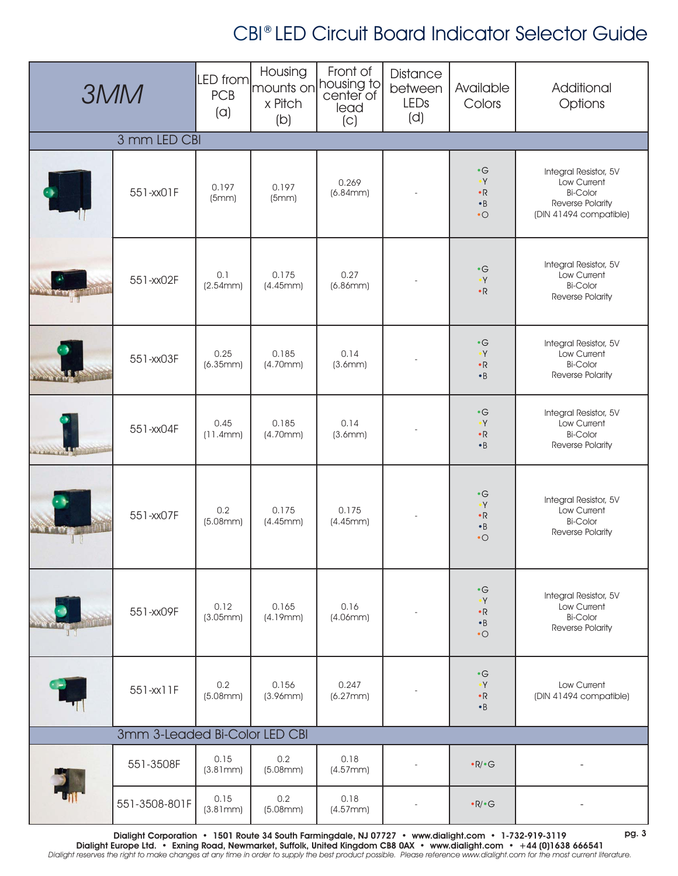| <b>3MM</b>                    |               | LED from<br><b>PCB</b><br>(a) | Housing<br>x Pitch<br>(b) | Front of<br>mounts on housing to<br>lead<br>(C) | <b>Distance</b><br>between<br>LEDs<br>(d) | Available<br>Colors                                                             | Additional<br>Options                                                                                 |  |
|-------------------------------|---------------|-------------------------------|---------------------------|-------------------------------------------------|-------------------------------------------|---------------------------------------------------------------------------------|-------------------------------------------------------------------------------------------------------|--|
| 3 mm LED CBI                  |               |                               |                           |                                                 |                                           |                                                                                 |                                                                                                       |  |
|                               | 551-xx01F     | 0.197<br>(5mm)                | 0.197<br>(5mm)            | 0.269<br>(6.84mm)                               |                                           | $\cdot G$<br>$\overline{\mathsf{Y}}$<br>$\bullet$ R<br>$\bullet$ B<br>$\cdot$ O | Integral Resistor, 5V<br>Low Current<br><b>Bi-Color</b><br>Reverse Polarity<br>(DIN 41494 compatible) |  |
|                               | 551-xx02F     | 0.1<br>(2.54mm)               | 0.175<br>(4.45mm)         | 0.27<br>(6.86mm)                                |                                           | $\cdot$ G<br>$\bullet Y$<br>$\cdot$ R                                           | Integral Resistor, 5V<br>Low Current<br><b>Bi-Color</b><br>Reverse Polarity                           |  |
|                               | 551-xx03F     | 0.25<br>(6.35mm)              | 0.185<br>(4.70mm)         | 0.14<br>(3.6mm)                                 |                                           | $\cdot G$<br>$\cdot Y$<br>$\bullet$ R<br>$\cdot$ B                              | Integral Resistor, 5V<br>Low Current<br><b>Bi-Color</b><br>Reverse Polarity                           |  |
|                               | 551-xx04F     | 0.45<br>(11.4mm)              | 0.185<br>(4.70mm)         | 0.14<br>(3.6mm)                                 |                                           | $\cdot$ G<br>$\bullet$ Y<br>$\cdot$ R<br>$\cdot$ B                              | Integral Resistor, 5V<br>Low Current<br><b>Bi-Color</b><br>Reverse Polarity                           |  |
|                               | 551-xx07F     | 0.2<br>(5.08mm)               | 0.175<br>(4.45mm)         | 0.175<br>(4.45mm)                               |                                           | $\cdot$ G<br>$\cdot$<br>$\bullet$ R<br>$\bullet$ B<br>$\cdot$ O                 | Integral Resistor, 5V<br>Low Current<br><b>Bi-Color</b><br>Reverse Polarity                           |  |
|                               | 551-xx09F     | 0.12<br>(3.05mm)              | 0.165<br>(4.19mm)         | 0.16<br>(4.06mm)                                |                                           | $\cdot$ G<br>$\cdot Y$<br>$\cdot$ R<br>$\bullet$ B<br>$\cdot$ O                 | Integral Resistor, 5V<br>Low Current<br><b>Bi-Color</b><br>Reverse Polarity                           |  |
|                               | 551-xx11F     | 0.2<br>(5.08mm)               | 0.156<br>(3.96mm)         | 0.247<br>(6.27mm)                               |                                           | $\cdot$ G<br>$\bullet$ Y<br>$\bullet{\mathsf R}$<br>$\bullet$ B                 | Low Current<br>(DIN 41494 compatible)                                                                 |  |
| 3mm 3-Leaded Bi-Color LED CBI |               |                               |                           |                                                 |                                           |                                                                                 |                                                                                                       |  |
|                               | 551-3508F     | 0.15<br>(3.81mm)              | 0.2<br>(5.08mm)           | 0.18<br>(4.57mm)                                |                                           | $\cdot R / \cdot G$                                                             |                                                                                                       |  |
|                               | 551-3508-801F | 0.15<br>(3.81mm)              | 0.2<br>(5.08mm)           | 0.18<br>(4.57mm)                                |                                           | $\cdot R / \cdot G$                                                             |                                                                                                       |  |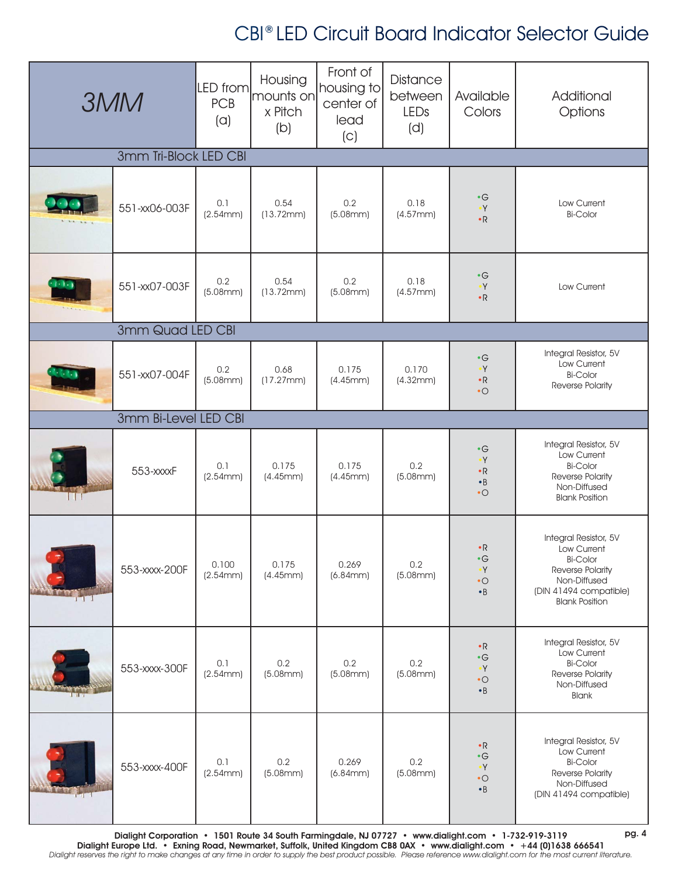| <b>3MM</b>            |                      | LED from<br><b>PCB</b><br>(a) | Housing<br>mounts on<br>x Pitch<br>(b) | Front of<br>housing to<br>center of<br>lead<br>(C) | <b>Distance</b><br>between<br>LEDs<br>(d) | Available<br>Colors                                                          | Additional<br>Options                                                                                                                          |  |  |
|-----------------------|----------------------|-------------------------------|----------------------------------------|----------------------------------------------------|-------------------------------------------|------------------------------------------------------------------------------|------------------------------------------------------------------------------------------------------------------------------------------------|--|--|
| 3mm Tri-Block LED CBI |                      |                               |                                        |                                                    |                                           |                                                                              |                                                                                                                                                |  |  |
|                       | 551-xx06-003F        | 0.1<br>(2.54mm)               | 0.54<br>(13.72mm)                      | 0.2<br>(5.08mm)                                    | 0.18<br>(4.57mm)                          | $\bullet$ G<br>$\bullet\,Y$<br>$\cdot$ R                                     | Low Current<br><b>Bi-Color</b>                                                                                                                 |  |  |
|                       | 551-xx07-003F        | 0.2<br>(5.08mm)               | 0.54<br>(13.72mm)                      | 0.2<br>(5.08mm)                                    | 0.18<br>(4.57mm)                          | $\bullet$ G<br>$\cdot Y$<br>$\cdot$ R                                        | Low Current                                                                                                                                    |  |  |
|                       | 3mm Quad LED CBI     |                               |                                        |                                                    |                                           |                                                                              |                                                                                                                                                |  |  |
|                       | 551-xx07-004F        | 0.2<br>(5.08mm)               | 0.68<br>(17.27mm)                      | 0.175<br>(4.45mm)                                  | 0.170<br>(4.32mm)                         | $\cdot G$<br>$\bullet\,Y$<br>$\bullet{\mathsf R}$<br>$\cdot$ O               | Integral Resistor, 5V<br>Low Current<br><b>Bi-Color</b><br>Reverse Polarity                                                                    |  |  |
|                       | 3mm Bi-Level LED CBI |                               |                                        |                                                    |                                           |                                                                              |                                                                                                                                                |  |  |
|                       | 553-xxxxF            | 0.1<br>(2.54mm)               | 0.175<br>(4.45mm)                      | 0.175<br>(4.45mm)                                  | 0.2<br>(5.08mm)                           | $\bullet$ G<br>$\bullet$ Y<br>$\cdot$ R<br>$\bullet$ B<br>$\cdot$ O          | Integral Resistor, 5V<br>Low Current<br><b>Bi-Color</b><br>Reverse Polarity<br>Non-Diffused<br><b>Blank Position</b>                           |  |  |
| $+$ $+$ $+$ $+$       | 553-xxxx-200F        | 0.100<br>(2.54mm)             | 0.175<br>(4.45mm)                      | 0.269<br>(6.84mm)                                  | 0.2<br>(5.08mm)                           | $\cdot$ R<br>$\bullet$ G<br>$\mathsf{Y}^\bullet$<br>$\bullet$ O<br>$\cdot$ B | Integral Resistor, 5V<br>Low Current<br><b>Bi-Color</b><br>Reverse Polarity<br>Non-Diffused<br>(DIN 41494 compatible)<br><b>Blank Position</b> |  |  |
|                       | 553-xxxx-300F        | 0.1<br>(2.54mm)               | 0.2<br>(5.08mm)                        | 0.2<br>(5.08mm)                                    | 0.2<br>(5.08mm)                           | $\cdot$ R<br>$\bullet$ G<br>$\bullet\,Y$<br>$\bullet$ O<br>$\bullet$ B       | Integral Resistor, 5V<br>Low Current<br><b>Bi-Color</b><br>Reverse Polarity<br>Non-Diffused<br><b>Blank</b>                                    |  |  |
| $1 - 1$               | 553-xxxx-400F        | 0.1<br>(2.54mm)               | 0.2<br>(5.08mm)                        | 0.269<br>(6.84mm)                                  | 0.2<br>(5.08mm)                           | $\cdot$ R<br>$\cdot$ G<br>$\bullet\,Y$<br>$\bullet$ O<br>$\bullet$ B         | Integral Resistor, 5V<br>Low Current<br><b>Bi-Color</b><br>Reverse Polarity<br>Non-Diffused<br>(DIN 41494 compatible)                          |  |  |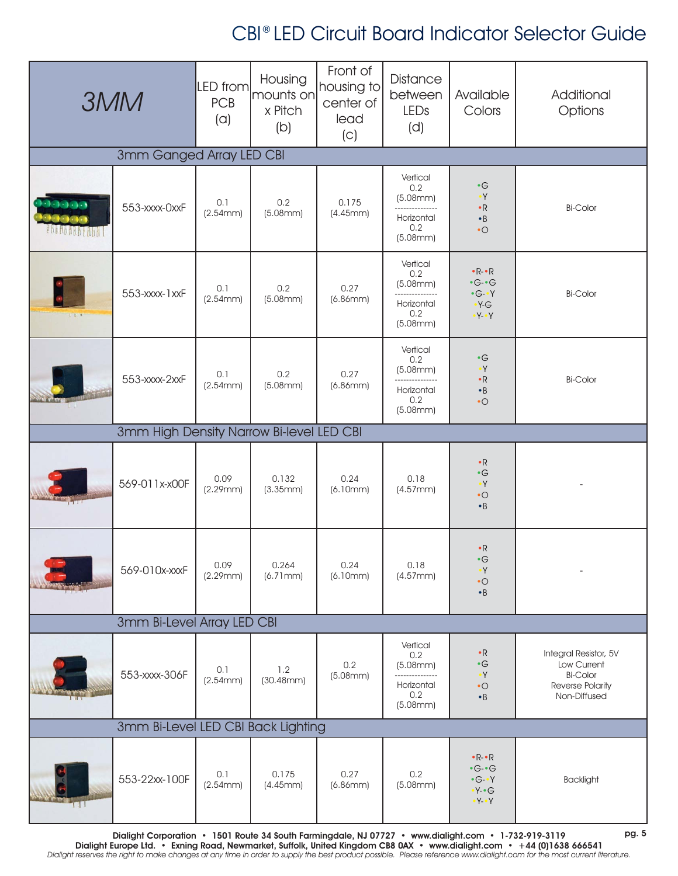| <b>3MM</b>                         |                                          | LED from<br><b>PCB</b><br>(a) | Housing<br>mounts on<br>x Pitch<br>(b) | Front of<br>housing to<br>center of<br>lead<br>(C) | Distance<br>between<br>LEDs<br>(d)                                             | Available<br>Colors                                                                                           | Additional<br>Options                                                                       |  |  |
|------------------------------------|------------------------------------------|-------------------------------|----------------------------------------|----------------------------------------------------|--------------------------------------------------------------------------------|---------------------------------------------------------------------------------------------------------------|---------------------------------------------------------------------------------------------|--|--|
| 3mm Ganged Array LED CBI           |                                          |                               |                                        |                                                    |                                                                                |                                                                                                               |                                                                                             |  |  |
| 11111                              | 553-xxxx-0xxF                            | 0.1<br>(2.54mm)               | 0.2<br>(5.08mm)                        | 0.175<br>(4.45mm)                                  | Vertical<br>0.2<br>(5.08mm)<br>Horizontal<br>0.2<br>(5.08mm)                   | $\cdot$ G<br>$\bullet$ Y<br>$\cdot$ R<br>$\cdot$ B<br>$\bullet$ O                                             | <b>Bi-Color</b>                                                                             |  |  |
| LIL                                | 553-xxxx-1xxF                            | 0.1<br>(2.54mm)               | 0.2<br>(5.08mm)                        | 0.27<br>(6.86mm)                                   | Vertical<br>0.2<br>(5.08mm)<br>--------------<br>Horizontal<br>0.2<br>(5.08mm) | $\cdot R - R$<br>$\cdot$ G- $\cdot$ G<br>$\cdot G - Y$<br>$\cdot Y-G$<br>$\bullet$ Y- $\bullet$ Y             | <b>Bi-Color</b>                                                                             |  |  |
|                                    | 553-xxxx-2xxF                            | 0.1<br>(2.54mm)               | 0.2<br>(5.08mm)                        | 0.27<br>(6.86mm)                                   | Vertical<br>0.2<br>(5.08mm)<br><br>Horizontal<br>0.2<br>(5.08mm)               | $\bullet$ G<br>$\bullet$ Y<br>$\cdot$ R<br>$\cdot$ B<br>$\bullet$ O                                           | <b>Bi-Color</b>                                                                             |  |  |
|                                    | 3mm High Density Narrow Bi-level LED CBI |                               |                                        |                                                    |                                                                                |                                                                                                               |                                                                                             |  |  |
|                                    | 569-011x-x00F                            | 0.09<br>(2.29mm)              | 0.132<br>(3.35mm)                      | 0.24<br>(6.10mm)                                   | 0.18<br>(4.57mm)                                                               | $\cdot$ R<br>$\bullet$ G<br>$\bullet\,Y$<br>$\bullet$ O<br>$\cdot$ B                                          |                                                                                             |  |  |
|                                    | 569-010x-xxxF                            | 0.09<br>(2.29mm)              | 0.264<br>(6.71mm)                      | 0.24<br>(6.10mm)                                   | 0.18<br>(4.57mm)                                                               | $\bullet$ R<br>$\bullet$ $\textsf{G}$<br>$\bullet Y$<br>$\bullet$ O<br>$\bullet$ B                            |                                                                                             |  |  |
|                                    | 3mm Bi-Level Array LED CBI               |                               |                                        |                                                    |                                                                                |                                                                                                               |                                                                                             |  |  |
|                                    | 553-xxxx-306F                            | 0.1<br>(2.54mm)               | 1.2<br>(30.48mm)                       | 0.2<br>(5.08mm)                                    | Vertical<br>0.2<br>(5.08mm)<br>Horizontal<br>0.2<br>(5.08mm)                   | $\cdot$ R<br>$\bullet$ $\textsf{G}$<br>$\bullet$ Y<br>$\bullet$ O<br>$\bullet$ B                              | Integral Resistor, 5V<br>Low Current<br><b>Bi-Color</b><br>Reverse Polarity<br>Non-Diffused |  |  |
| 3mm Bi-Level LED CBI Back Lighting |                                          |                               |                                        |                                                    |                                                                                |                                                                                                               |                                                                                             |  |  |
| 11 1                               | 553-22xx-100F                            | 0.1<br>(2.54mm)               | 0.175<br>(4.45mm)                      | 0.27<br>(6.86mm)                                   | 0.2<br>(5.08mm)                                                                | $\cdot$ R- $\cdot$ R<br>$\cdot$ G- $\cdot$ G<br>$\cdot G - Y$<br>$\cdot Y - G$<br>$\gamma \cdot \gamma \cdot$ | <b>Backlight</b>                                                                            |  |  |

Dialight Corporation • 1501 Route 34 South Farmingdale, NJ 07727 • www.dialight.com • 1-732-919-3119 Dialight Europe Ltd. • Exning Road, Newmarket, Suffolk, United Kingdom CB8 0AX • www.dialight.com • +44 (0)1638 666541 Dialight reserves the right to make changes at any time in order to supply the best product possible. Please reference www.dialight.com for the most current literature. pg. 5